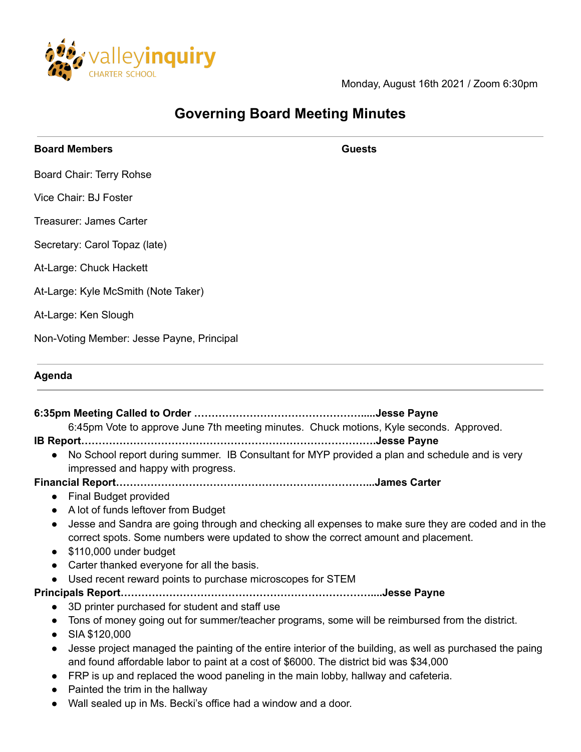

Monday, August 16th 2021 / Zoom 6:30pm

# **Governing Board Meeting Minutes**

**Board Members Guests**

Board Chair: Terry Rohse

Vice Chair: BJ Foster

Treasurer: James Carter

Secretary: Carol Topaz (late)

At-Large: Chuck Hackett

At-Large: Kyle McSmith (Note Taker)

At-Large: Ken Slough

Non-Voting Member: Jesse Payne, Principal

## **Agenda**

**6:35pm Meeting Called to Order ………………………………………….....Jesse Payne**

6:45pm Vote to approve June 7th meeting minutes. Chuck motions, Kyle seconds. Approved.

**IB Report………………………………………………………………………….Jesse Payne**

● No School report during summer. IB Consultant for MYP provided a plan and schedule and is very impressed and happy with progress.

**Financial Report………………………………………………………………...James Carter**

● Final Budget provided

- A lot of funds leftover from Budget
- Jesse and Sandra are going through and checking all expenses to make sure they are coded and in the correct spots. Some numbers were updated to show the correct amount and placement.
- \$110,000 under budget
- Carter thanked everyone for all the basis.
- Used recent reward points to purchase microscopes for STEM

**Principals Report………………………………………………………………....Jesse Payne**

- 3D printer purchased for student and staff use
- Tons of money going out for summer/teacher programs, some will be reimbursed from the district.
- SIA \$120,000
- Jesse project managed the painting of the entire interior of the building, as well as purchased the paing and found affordable labor to paint at a cost of \$6000. The district bid was \$34,000
- FRP is up and replaced the wood paneling in the main lobby, hallway and cafeteria.
- Painted the trim in the hallway
- Wall sealed up in Ms. Becki's office had a window and a door.